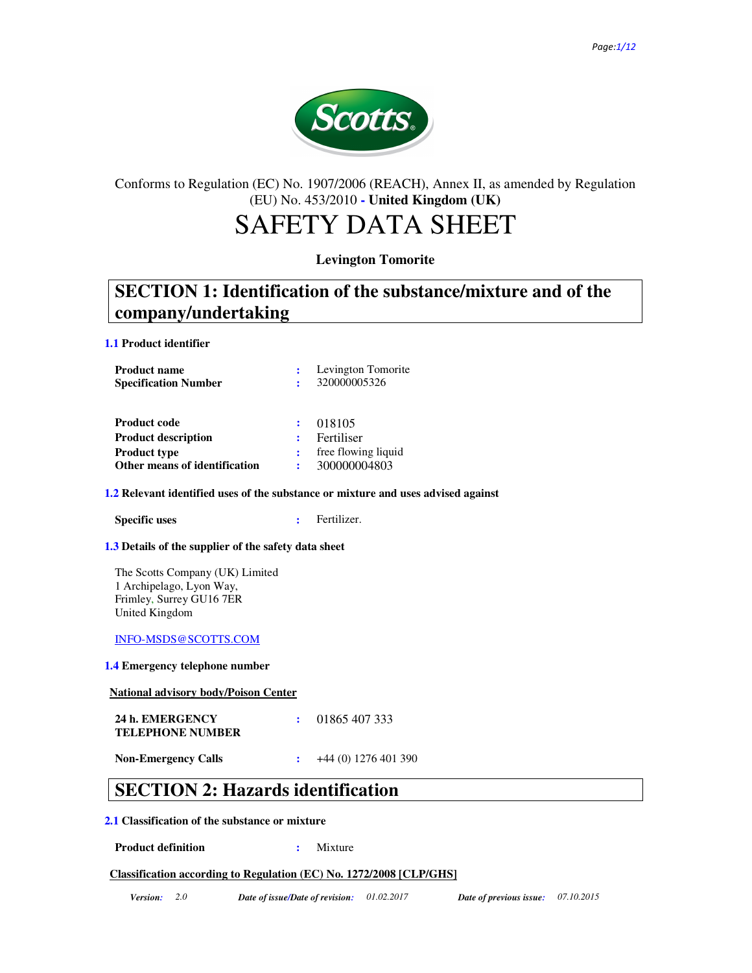

### Conforms to Regulation (EC) No. 1907/2006 (REACH), Annex II, as amended by Regulation (EU) No. 453/2010 **- United Kingdom (UK)**

# SAFETY DATA SHEET

### **Levington Tomorite**

## **SECTION 1: Identification of the substance/mixture and of the company/undertaking**

**1.1 Product identifier**

| <b>Product name</b>           |   | Levington Tomorite  |
|-------------------------------|---|---------------------|
| <b>Specification Number</b>   |   | 320000005326        |
|                               |   |                     |
| <b>Product code</b>           |   | 018105              |
|                               |   |                     |
| <b>Product description</b>    |   | Fertiliser          |
| <b>Product type</b>           |   | free flowing liquid |
| Other means of identification | ÷ | 300000004803        |

### **1.2 Relevant identified uses of the substance or mixture and uses advised against**

**Specific uses :**  Fertilizer.

### **1.3 Details of the supplier of the safety data sheet**

The Scotts Company (UK) Limited 1 Archipelago, Lyon Way, Frimley, Surrey GU16 7ER United Kingdom

### INFO-MSDS@SCOTTS.COM

### **1.4 Emergency telephone number**

**National advisory body/Poison Center**

| 24 h. EMERGENCY         | 01865 407 333 |
|-------------------------|---------------|
| <b>TELEPHONE NUMBER</b> |               |
|                         |               |

**Non-Emergency Calls** :  $+44(0) 1276 401 390$ 

## **SECTION 2: Hazards identification**

### **2.1 Classification of the substance or mixture**

**Product definition :** Mixture

### **Classification according to Regulation (EC) No. 1272/2008 [CLP/GHS]**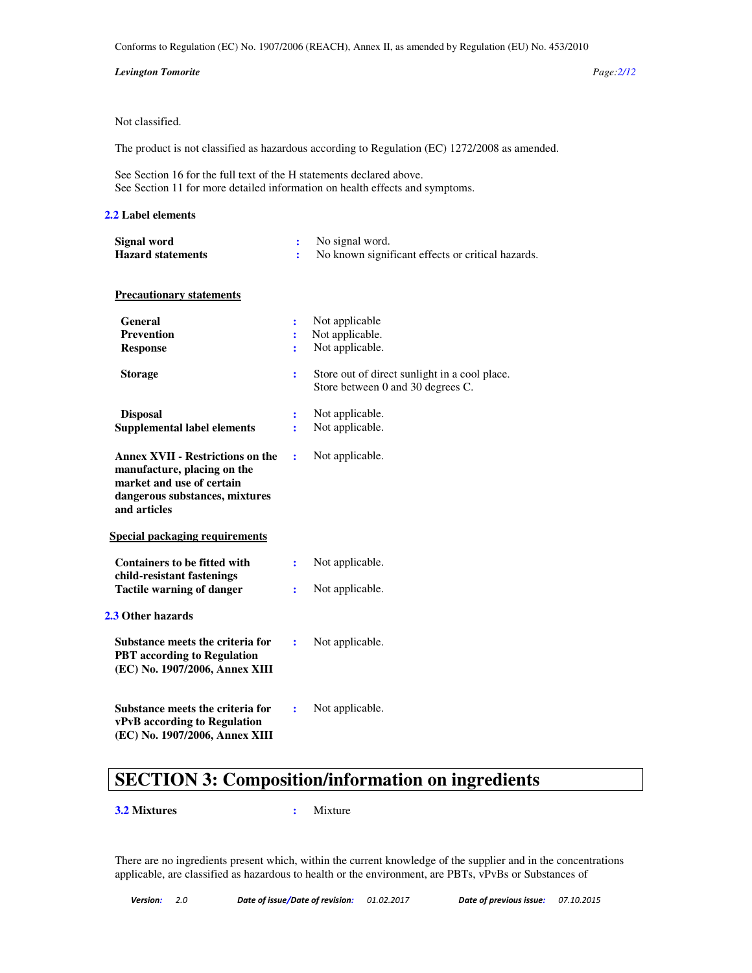Conforms to Regulation (EC) No. 1907/2006 (REACH), Annex II, as amended by Regulation (EU) No. 453/2010

#### *Levington Tomorite Page:2/12*

### Not classified.

The product is not classified as hazardous according to Regulation (EC) 1272/2008 as amended.

See Section 16 for the full text of the H statements declared above. See Section 11 for more detailed information on health effects and symptoms.

#### **2.2 Label elements**

| <i>L</i> Ladu Gumun                                                                                                                                   |                          |                                                                                    |
|-------------------------------------------------------------------------------------------------------------------------------------------------------|--------------------------|------------------------------------------------------------------------------------|
| Signal word<br><b>Hazard statements</b>                                                                                                               | $\ddot{\cdot}$<br>÷      | No signal word.<br>No known significant effects or critical hazards.               |
| <b>Precautionary statements</b>                                                                                                                       |                          |                                                                                    |
| <b>General</b><br><b>Prevention</b><br><b>Response</b>                                                                                                | $\ddot{\cdot}$<br>÷<br>÷ | Not applicable<br>Not applicable.<br>Not applicable.                               |
| <b>Storage</b>                                                                                                                                        | ÷                        | Store out of direct sunlight in a cool place.<br>Store between 0 and 30 degrees C. |
| <b>Disposal</b><br><b>Supplemental label elements</b>                                                                                                 | ÷<br>÷                   | Not applicable.<br>Not applicable.                                                 |
| <b>Annex XVII - Restrictions on the</b><br>manufacture, placing on the<br>market and use of certain<br>dangerous substances, mixtures<br>and articles | ÷                        | Not applicable.                                                                    |
| <b>Special packaging requirements</b>                                                                                                                 |                          |                                                                                    |
| <b>Containers to be fitted with</b>                                                                                                                   | ÷                        | Not applicable.                                                                    |
| child-resistant fastenings<br><b>Tactile warning of danger</b>                                                                                        | ÷                        | Not applicable.                                                                    |
| 2.3 Other hazards                                                                                                                                     |                          |                                                                                    |
| Substance meets the criteria for<br><b>PBT</b> according to Regulation<br>(EC) No. 1907/2006, Annex XIII                                              | ÷                        | Not applicable.                                                                    |
| Substance meets the criteria for<br>vPvB according to Regulation<br>(EC) No. 1907/2006, Annex XIII                                                    | $\ddot{\cdot}$           | Not applicable.                                                                    |

## **SECTION 3: Composition/information on ingredients**

#### **3.2 Mixtures :** Mixture

There are no ingredients present which, within the current knowledge of the supplier and in the concentrations applicable, are classified as hazardous to health or the environment, are PBTs, vPvBs or Substances of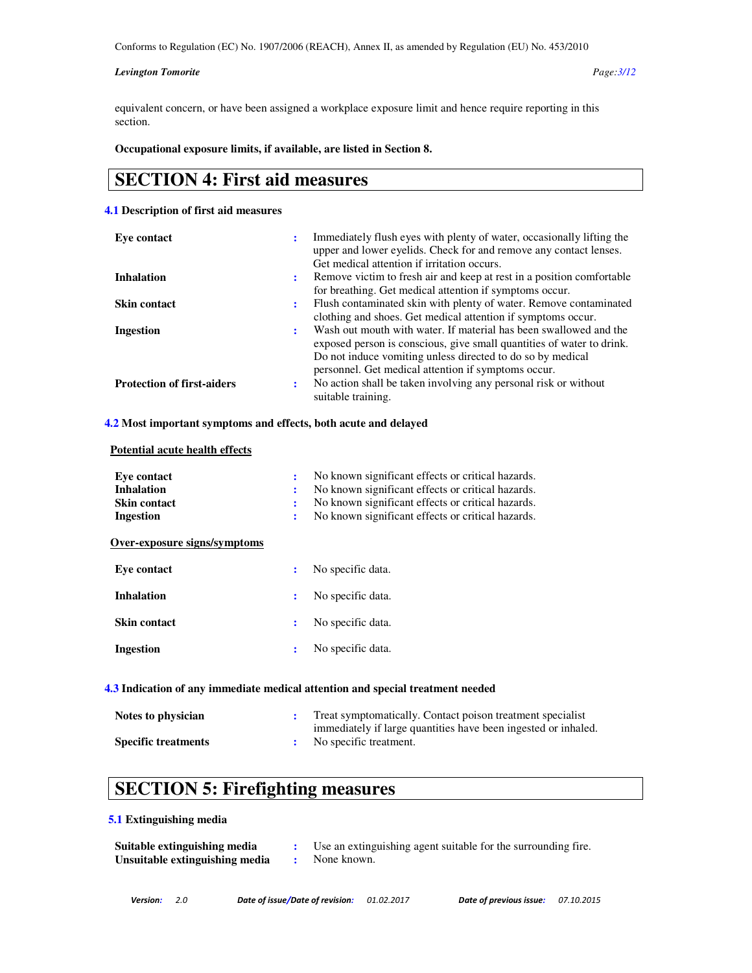#### *Levington Tomorite Page:3/12*

equivalent concern, or have been assigned a workplace exposure limit and hence require reporting in this section.

### **Occupational exposure limits, if available, are listed in Section 8.**

### **SECTION 4: First aid measures**

### **4.1 Description of first aid measures**

| Eve contact                       | ٠ | Immediately flush eyes with plenty of water, occasionally lifting the<br>upper and lower eyelids. Check for and remove any contact lenses. |
|-----------------------------------|---|--------------------------------------------------------------------------------------------------------------------------------------------|
|                                   |   | Get medical attention if irritation occurs.                                                                                                |
| <b>Inhalation</b>                 | ÷ | Remove victim to fresh air and keep at rest in a position comfortable                                                                      |
|                                   |   | for breathing. Get medical attention if symptoms occur.                                                                                    |
| <b>Skin contact</b>               | ÷ | Flush contaminated skin with plenty of water. Remove contaminated                                                                          |
|                                   |   | clothing and shoes. Get medical attention if symptoms occur.                                                                               |
| Ingestion                         | ÷ | Wash out mouth with water. If material has been swallowed and the                                                                          |
|                                   |   | exposed person is conscious, give small quantities of water to drink.                                                                      |
|                                   |   | Do not induce vomiting unless directed to do so by medical                                                                                 |
|                                   |   | personnel. Get medical attention if symptoms occur.                                                                                        |
| <b>Protection of first-aiders</b> | ٠ | No action shall be taken involving any personal risk or without                                                                            |
|                                   |   | suitable training.                                                                                                                         |

### **4.2 Most important symptoms and effects, both acute and delayed**

### **Potential acute health effects**

| Eve contact<br><b>Inhalation</b><br><b>Skin contact</b><br>Ingestion | ÷<br>÷ | No known significant effects or critical hazards.<br>No known significant effects or critical hazards.<br>No known significant effects or critical hazards.<br>No known significant effects or critical hazards. |
|----------------------------------------------------------------------|--------|------------------------------------------------------------------------------------------------------------------------------------------------------------------------------------------------------------------|
| Over-exposure signs/symptoms                                         |        |                                                                                                                                                                                                                  |
| Eve contact                                                          | :      | No specific data.                                                                                                                                                                                                |
| <b>Inhalation</b>                                                    | ÷      | No specific data.                                                                                                                                                                                                |
| <b>Skin contact</b>                                                  | :      | No specific data.                                                                                                                                                                                                |
| Ingestion                                                            | ÷      | No specific data.                                                                                                                                                                                                |

### **4.3 Indication of any immediate medical attention and special treatment needed**

| Notes to physician         | Treat symptomatically. Contact poison treatment specialist     |
|----------------------------|----------------------------------------------------------------|
|                            | immediately if large quantities have been ingested or inhaled. |
| <b>Specific treatments</b> | No specific treatment.                                         |

# **SECTION 5: Firefighting measures**

#### **5.1 Extinguishing media**

| Suitable extinguishing media   | Use an extinguishing agent suitable for the surrounding fire. |
|--------------------------------|---------------------------------------------------------------|
| Unsuitable extinguishing media | None known.                                                   |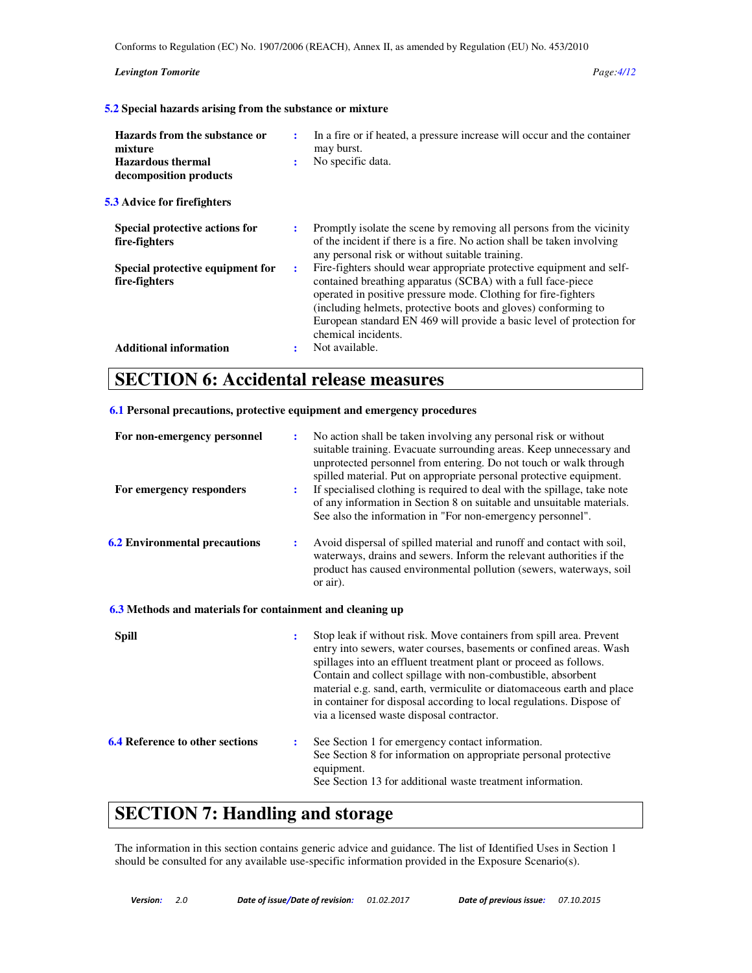Conforms to Regulation (EC) No. 1907/2006 (REACH), Annex II, as amended by Regulation (EU) No. 453/2010

#### *Levington Tomorite Page:4/12*

**5.2 Special hazards arising from the substance or mixture** 

| Hazards from the substance or<br>mixture<br><b>Hazardous thermal</b><br>decomposition products<br><b>5.3</b> Advice for firefighters | ÷<br>$\ddot{\phantom{a}}$ | In a fire or if heated, a pressure increase will occur and the container<br>may burst.<br>No specific data.                                                                                                                                                                                                                                                             |
|--------------------------------------------------------------------------------------------------------------------------------------|---------------------------|-------------------------------------------------------------------------------------------------------------------------------------------------------------------------------------------------------------------------------------------------------------------------------------------------------------------------------------------------------------------------|
| Special protective actions for                                                                                                       | ÷                         | Promptly isolate the scene by removing all persons from the vicinity                                                                                                                                                                                                                                                                                                    |
| fire-fighters                                                                                                                        |                           | of the incident if there is a fire. No action shall be taken involving<br>any personal risk or without suitable training.                                                                                                                                                                                                                                               |
| Special protective equipment for<br>fire-fighters                                                                                    | ÷                         | Fire-fighters should wear appropriate protective equipment and self-<br>contained breathing apparatus (SCBA) with a full face-piece<br>operated in positive pressure mode. Clothing for fire-fighters<br>(including helmets, protective boots and gloves) conforming to<br>European standard EN 469 will provide a basic level of protection for<br>chemical incidents. |
| <b>Additional information</b>                                                                                                        |                           | Not available.                                                                                                                                                                                                                                                                                                                                                          |

### **SECTION 6: Accidental release measures**

### **6.1 Personal precautions, protective equipment and emergency procedures**

| For non-emergency personnel<br>For emergency responders   | ÷<br>÷         | No action shall be taken involving any personal risk or without<br>suitable training. Evacuate surrounding areas. Keep unnecessary and<br>unprotected personnel from entering. Do not touch or walk through<br>spilled material. Put on appropriate personal protective equipment.<br>If specialised clothing is required to deal with the spillage, take note<br>of any information in Section 8 on suitable and unsuitable materials.<br>See also the information in "For non-emergency personnel". |  |
|-----------------------------------------------------------|----------------|-------------------------------------------------------------------------------------------------------------------------------------------------------------------------------------------------------------------------------------------------------------------------------------------------------------------------------------------------------------------------------------------------------------------------------------------------------------------------------------------------------|--|
| <b>6.2 Environmental precautions</b>                      | ÷              | Avoid dispersal of spilled material and runoff and contact with soil,<br>waterways, drains and sewers. Inform the relevant authorities if the<br>product has caused environmental pollution (sewers, waterways, soil<br>or air).                                                                                                                                                                                                                                                                      |  |
| 6.3 Methods and materials for containment and cleaning up |                |                                                                                                                                                                                                                                                                                                                                                                                                                                                                                                       |  |
| <b>Spill</b>                                              | $\ddot{\cdot}$ | Stop leak if without risk. Move containers from spill area. Prevent<br>entry into sewers, water courses, basements or confined areas. Wash<br>spillages into an effluent treatment plant or proceed as follows.<br>Contain and collect spillage with non-combustible, absorbent<br>material e.g. sand, earth, vermiculite or diatomaceous earth and place<br>in container for disposal according to local regulations. Dispose of<br>via a licensed waste disposal contractor.                        |  |
| <b>6.4 Reference to other sections</b>                    | $\ddot{\cdot}$ | See Section 1 for emergency contact information.<br>See Section 8 for information on appropriate personal protective<br>equipment.<br>See Section 13 for additional waste treatment information.                                                                                                                                                                                                                                                                                                      |  |

## **SECTION 7: Handling and storage**

The information in this section contains generic advice and guidance. The list of Identified Uses in Section 1 should be consulted for any available use-specific information provided in the Exposure Scenario(s).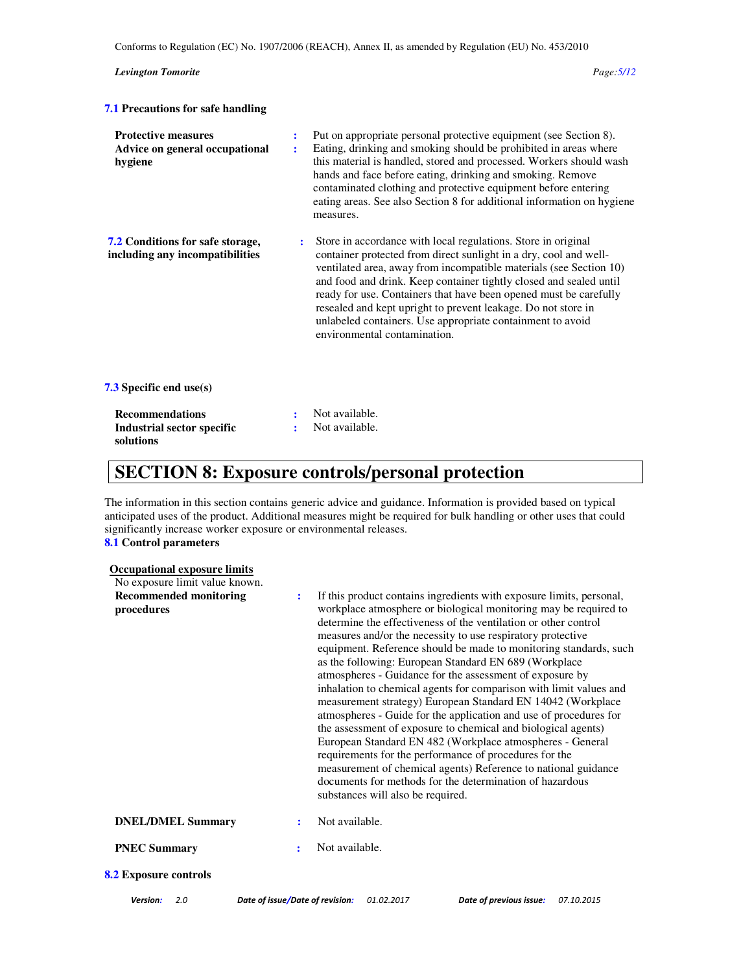| <b>Levington Tomorite</b>                                               |        | Page: 5/12                                                                                                                                                                                                                                                                                                                                                                                                                                                                                                         |
|-------------------------------------------------------------------------|--------|--------------------------------------------------------------------------------------------------------------------------------------------------------------------------------------------------------------------------------------------------------------------------------------------------------------------------------------------------------------------------------------------------------------------------------------------------------------------------------------------------------------------|
| <b>7.1 Precautions for safe handling</b>                                |        |                                                                                                                                                                                                                                                                                                                                                                                                                                                                                                                    |
| <b>Protective measures</b><br>Advice on general occupational<br>hygiene | ÷<br>÷ | Put on appropriate personal protective equipment (see Section 8).<br>Eating, drinking and smoking should be prohibited in areas where<br>this material is handled, stored and processed. Workers should wash<br>hands and face before eating, drinking and smoking. Remove<br>contaminated clothing and protective equipment before entering<br>eating areas. See also Section 8 for additional information on hygiene<br>measures.                                                                                |
| 7.2 Conditions for safe storage,<br>including any incompatibilities     | ÷      | Store in accordance with local regulations. Store in original<br>container protected from direct sunlight in a dry, cool and well-<br>ventilated area, away from incompatible materials (see Section 10)<br>and food and drink. Keep container tightly closed and sealed until<br>ready for use. Containers that have been opened must be carefully<br>resealed and kept upright to prevent leakage. Do not store in<br>unlabeled containers. Use appropriate containment to avoid<br>environmental contamination. |
| <b>7.3</b> Specific end use(s)                                          |        |                                                                                                                                                                                                                                                                                                                                                                                                                                                                                                                    |
| <b>Recommendations</b><br>Industrial sector specific<br>solutions       |        | Not available.<br>Not available.                                                                                                                                                                                                                                                                                                                                                                                                                                                                                   |

## **SECTION 8: Exposure controls/personal protection**

The information in this section contains generic advice and guidance. Information is provided based on typical anticipated uses of the product. Additional measures might be required for bulk handling or other uses that could significantly increase worker exposure or environmental releases.

### **8.1 Control parameters**

| <b>Occupational exposure limits</b>         |   |                                                                                                                                                                                                                                                                                                                                                                                                                                                                                                                                                                                                                                                                                                                                                                                                                                                                                                                                                                                                                                           |
|---------------------------------------------|---|-------------------------------------------------------------------------------------------------------------------------------------------------------------------------------------------------------------------------------------------------------------------------------------------------------------------------------------------------------------------------------------------------------------------------------------------------------------------------------------------------------------------------------------------------------------------------------------------------------------------------------------------------------------------------------------------------------------------------------------------------------------------------------------------------------------------------------------------------------------------------------------------------------------------------------------------------------------------------------------------------------------------------------------------|
| No exposure limit value known.              |   |                                                                                                                                                                                                                                                                                                                                                                                                                                                                                                                                                                                                                                                                                                                                                                                                                                                                                                                                                                                                                                           |
| <b>Recommended monitoring</b><br>procedures | ÷ | If this product contains ingredients with exposure limits, personal,<br>workplace atmosphere or biological monitoring may be required to<br>determine the effectiveness of the ventilation or other control<br>measures and/or the necessity to use respiratory protective<br>equipment. Reference should be made to monitoring standards, such<br>as the following: European Standard EN 689 (Workplace<br>atmospheres - Guidance for the assessment of exposure by<br>inhalation to chemical agents for comparison with limit values and<br>measurement strategy) European Standard EN 14042 (Workplace<br>atmospheres - Guide for the application and use of procedures for<br>the assessment of exposure to chemical and biological agents)<br>European Standard EN 482 (Workplace atmospheres - General<br>requirements for the performance of procedures for the<br>measurement of chemical agents) Reference to national guidance<br>documents for methods for the determination of hazardous<br>substances will also be required. |
| <b>DNEL/DMEL Summary</b>                    | ÷ | Not available.                                                                                                                                                                                                                                                                                                                                                                                                                                                                                                                                                                                                                                                                                                                                                                                                                                                                                                                                                                                                                            |
| <b>PNEC Summary</b>                         | ÷ | Not available.                                                                                                                                                                                                                                                                                                                                                                                                                                                                                                                                                                                                                                                                                                                                                                                                                                                                                                                                                                                                                            |
| <b>8.2 Exposure controls</b>                |   |                                                                                                                                                                                                                                                                                                                                                                                                                                                                                                                                                                                                                                                                                                                                                                                                                                                                                                                                                                                                                                           |
|                                             |   |                                                                                                                                                                                                                                                                                                                                                                                                                                                                                                                                                                                                                                                                                                                                                                                                                                                                                                                                                                                                                                           |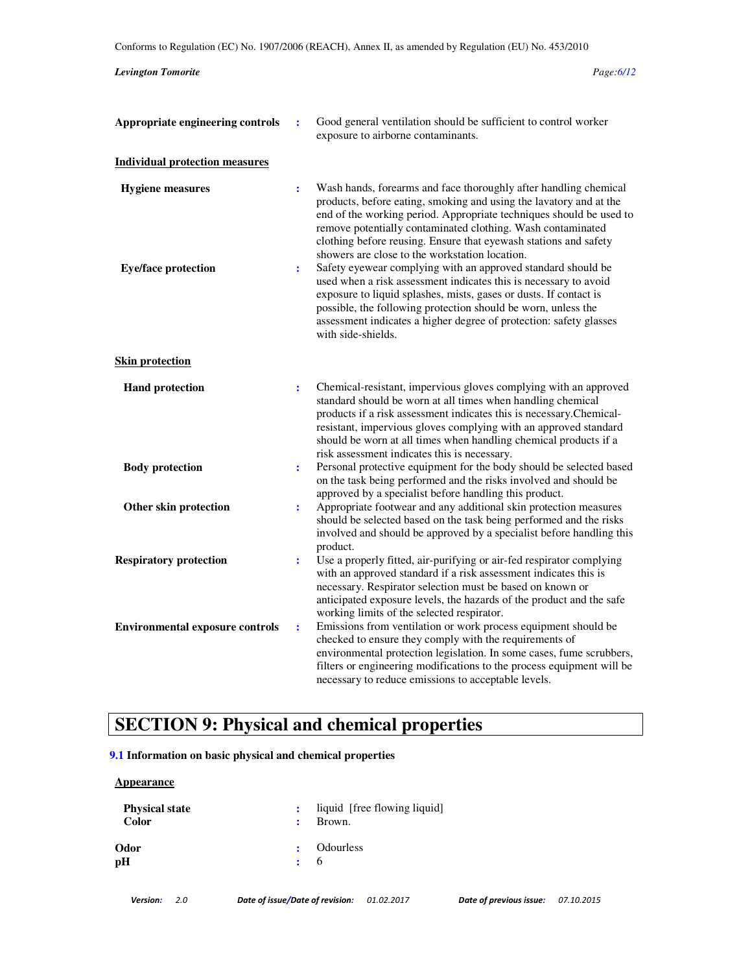### *Levington Tomorite Page:6/12*

| Appropriate engineering controls       | $\ddot{\phantom{a}}$ | Good general ventilation should be sufficient to control worker<br>exposure to airborne contaminants.                                                                                                                                                                                                                                                                                              |
|----------------------------------------|----------------------|----------------------------------------------------------------------------------------------------------------------------------------------------------------------------------------------------------------------------------------------------------------------------------------------------------------------------------------------------------------------------------------------------|
| <b>Individual protection measures</b>  |                      |                                                                                                                                                                                                                                                                                                                                                                                                    |
| <b>Hygiene measures</b>                | ÷                    | Wash hands, forearms and face thoroughly after handling chemical<br>products, before eating, smoking and using the lavatory and at the<br>end of the working period. Appropriate techniques should be used to<br>remove potentially contaminated clothing. Wash contaminated<br>clothing before reusing. Ensure that eyewash stations and safety<br>showers are close to the workstation location. |
| <b>Eye/face protection</b>             | $\ddot{\cdot}$       | Safety eyewear complying with an approved standard should be<br>used when a risk assessment indicates this is necessary to avoid<br>exposure to liquid splashes, mists, gases or dusts. If contact is<br>possible, the following protection should be worn, unless the<br>assessment indicates a higher degree of protection: safety glasses<br>with side-shields.                                 |
| <b>Skin protection</b>                 |                      |                                                                                                                                                                                                                                                                                                                                                                                                    |
| <b>Hand protection</b>                 | ÷                    | Chemical-resistant, impervious gloves complying with an approved<br>standard should be worn at all times when handling chemical<br>products if a risk assessment indicates this is necessary.Chemical-<br>resistant, impervious gloves complying with an approved standard<br>should be worn at all times when handling chemical products if a<br>risk assessment indicates this is necessary.     |
| <b>Body protection</b>                 | $\ddot{\cdot}$       | Personal protective equipment for the body should be selected based<br>on the task being performed and the risks involved and should be<br>approved by a specialist before handling this product.                                                                                                                                                                                                  |
| Other skin protection                  | $\ddot{\cdot}$       | Appropriate footwear and any additional skin protection measures<br>should be selected based on the task being performed and the risks<br>involved and should be approved by a specialist before handling this<br>product.                                                                                                                                                                         |
| <b>Respiratory protection</b>          | ÷                    | Use a properly fitted, air-purifying or air-fed respirator complying<br>with an approved standard if a risk assessment indicates this is<br>necessary. Respirator selection must be based on known or<br>anticipated exposure levels, the hazards of the product and the safe<br>working limits of the selected respirator.                                                                        |
| <b>Environmental exposure controls</b> | $\ddot{\cdot}$       | Emissions from ventilation or work process equipment should be<br>checked to ensure they comply with the requirements of<br>environmental protection legislation. In some cases, fume scrubbers,<br>filters or engineering modifications to the process equipment will be<br>necessary to reduce emissions to acceptable levels.                                                                   |

# **SECTION 9: Physical and chemical properties**

### **9.1 Information on basic physical and chemical properties**

### **Appearance**

| <b>Physical state</b><br><b>Color</b> | $\mathbf{r}$ | liquid [free flowing liquid]<br>Brown. |
|---------------------------------------|--------------|----------------------------------------|
| Odor<br>рH                            |              | : Odourless<br>$\cdot$ 6               |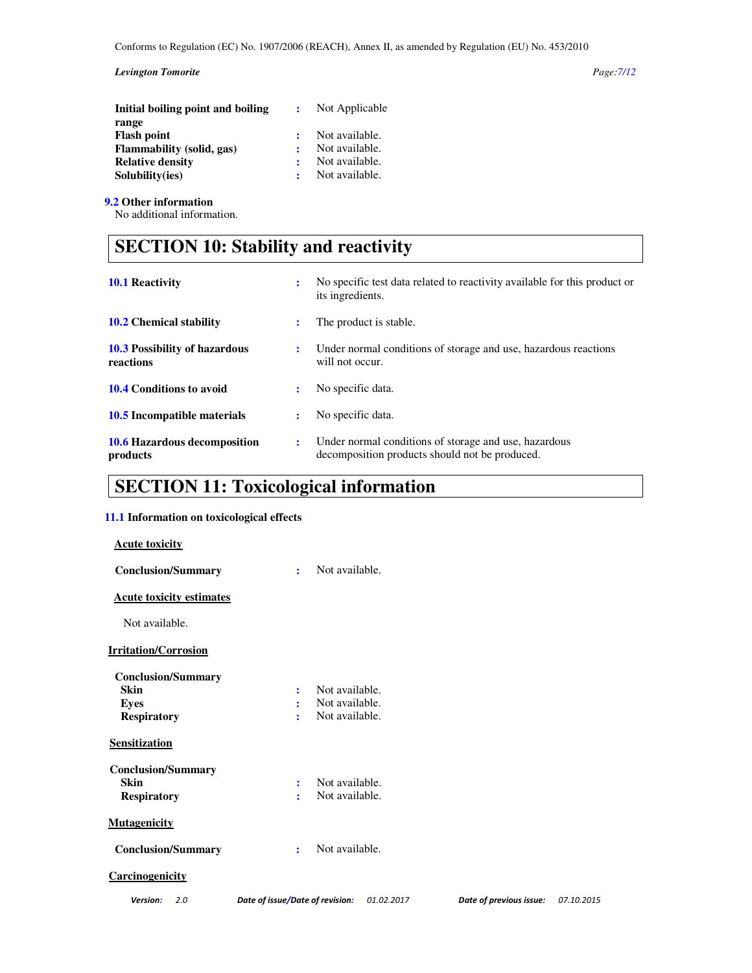### *Levington Tomorite Page:7/12*

| Initial boiling point and boiling | Not Applicable |
|-----------------------------------|----------------|
| range                             |                |
| <b>Flash point</b>                | Not available. |
| Flammability (solid, gas)         | Not available. |
| <b>Relative density</b>           | Not available. |
| Solubility(ies)                   | Not available. |

**9.2 Other information**

No additional information.

# **SECTION 10: Stability and reactivity**

| <b>10.1 Reactivity</b>                            |                      | No specific test data related to reactivity available for this product or<br>its ingredients.           |
|---------------------------------------------------|----------------------|---------------------------------------------------------------------------------------------------------|
| <b>10.2</b> Chemical stability                    |                      | The product is stable.                                                                                  |
| <b>10.3 Possibility of hazardous</b><br>reactions | $\ddot{\phantom{a}}$ | Under normal conditions of storage and use, hazardous reactions<br>will not occur.                      |
| <b>10.4 Conditions to avoid</b>                   |                      | No specific data.                                                                                       |
| 10.5 Incompatible materials                       | ÷                    | No specific data.                                                                                       |
| <b>10.6 Hazardous decomposition</b><br>products   | ÷                    | Under normal conditions of storage and use, hazardous<br>decomposition products should not be produced. |

# **SECTION 11: Toxicological information**

### **11.1 Information on toxicological effects**

| <b>Acute toxicity</b>           |                                               |
|---------------------------------|-----------------------------------------------|
| <b>Conclusion/Summary</b>       | Not available.<br>÷                           |
| <b>Acute toxicity estimates</b> |                                               |
| Not available.                  |                                               |
| <b>Irritation/Corrosion</b>     |                                               |
| <b>Conclusion/Summary</b>       |                                               |
| Skin                            | Not available.<br>$\ddot{\cdot}$              |
| <b>Eyes</b>                     | Not available.<br>÷                           |
| <b>Respiratory</b>              | Not available.<br>÷                           |
| Sensitization                   |                                               |
| <b>Conclusion/Summary</b>       |                                               |
| Skin                            | Not available.<br>÷                           |
| <b>Respiratory</b>              | Not available.<br>÷                           |
| <b>Mutagenicity</b>             |                                               |
| <b>Conclusion/Summary</b>       | Not available.<br>÷                           |
| <b>Carcinogenicity</b>          |                                               |
| Version:<br>2.0                 | Date of issue/Date of revision:<br>01.02.2017 |

Date of previous issue: 07.10.2015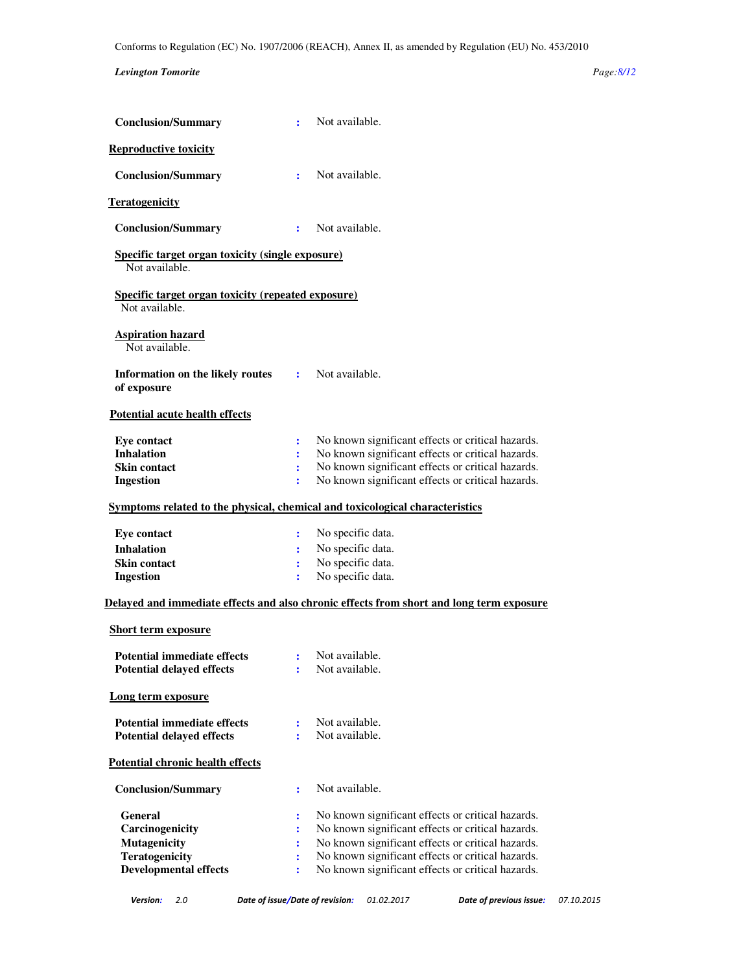### *Levington Tomorite Page:8/12*

| <b>Conclusion/Summary</b>                                                                                                         | ÷                             | Not available.                                                                                                                                                                                                                                                        |
|-----------------------------------------------------------------------------------------------------------------------------------|-------------------------------|-----------------------------------------------------------------------------------------------------------------------------------------------------------------------------------------------------------------------------------------------------------------------|
| <b>Reproductive toxicity</b>                                                                                                      |                               |                                                                                                                                                                                                                                                                       |
| <b>Conclusion/Summary</b>                                                                                                         | ÷                             | Not available.                                                                                                                                                                                                                                                        |
| <b>Teratogenicity</b>                                                                                                             |                               |                                                                                                                                                                                                                                                                       |
| <b>Conclusion/Summary</b>                                                                                                         | ÷                             | Not available.                                                                                                                                                                                                                                                        |
| <b>Specific target organ toxicity (single exposure)</b><br>Not available.                                                         |                               |                                                                                                                                                                                                                                                                       |
| <b>Specific target organ toxicity (repeated exposure)</b><br>Not available.                                                       |                               |                                                                                                                                                                                                                                                                       |
| <b>Aspiration hazard</b><br>Not available.                                                                                        |                               |                                                                                                                                                                                                                                                                       |
| Information on the likely routes<br>of exposure                                                                                   | $\mathbf{r}$                  | Not available.                                                                                                                                                                                                                                                        |
| <b>Potential acute health effects</b>                                                                                             |                               |                                                                                                                                                                                                                                                                       |
| <b>Eye contact</b><br><b>Inhalation</b><br><b>Skin contact</b><br><b>Ingestion</b>                                                | $\ddot{\cdot}$<br>÷<br>÷<br>÷ | No known significant effects or critical hazards.<br>No known significant effects or critical hazards.<br>No known significant effects or critical hazards.<br>No known significant effects or critical hazards.                                                      |
| Symptoms related to the physical, chemical and toxicological characteristics                                                      |                               |                                                                                                                                                                                                                                                                       |
| Eye contact<br><b>Inhalation</b><br><b>Skin contact</b><br>Ingestion                                                              | ÷<br>÷<br>÷<br>÷              | No specific data.<br>No specific data.<br>No specific data.<br>No specific data.                                                                                                                                                                                      |
|                                                                                                                                   |                               | Delayed and immediate effects and also chronic effects from short and long term exposure                                                                                                                                                                              |
| <b>Short term exposure</b><br><b>Potential immediate effects</b><br><b>Potential delayed effects</b><br><b>Long term exposure</b> | ÷                             | : Not available.<br>Not available.                                                                                                                                                                                                                                    |
| <b>Potential immediate effects</b><br><b>Potential delayed effects</b>                                                            | ÷<br>÷                        | Not available.<br>Not available.                                                                                                                                                                                                                                      |
| <b>Potential chronic health effects</b>                                                                                           |                               |                                                                                                                                                                                                                                                                       |
| <b>Conclusion/Summary</b>                                                                                                         | $\ddot{\cdot}$                | Not available.                                                                                                                                                                                                                                                        |
| General<br>Carcinogenicity<br><b>Mutagenicity</b><br>Teratogenicity<br><b>Developmental effects</b>                               | :<br>÷<br>÷<br>÷              | No known significant effects or critical hazards.<br>No known significant effects or critical hazards.<br>No known significant effects or critical hazards.<br>No known significant effects or critical hazards.<br>No known significant effects or critical hazards. |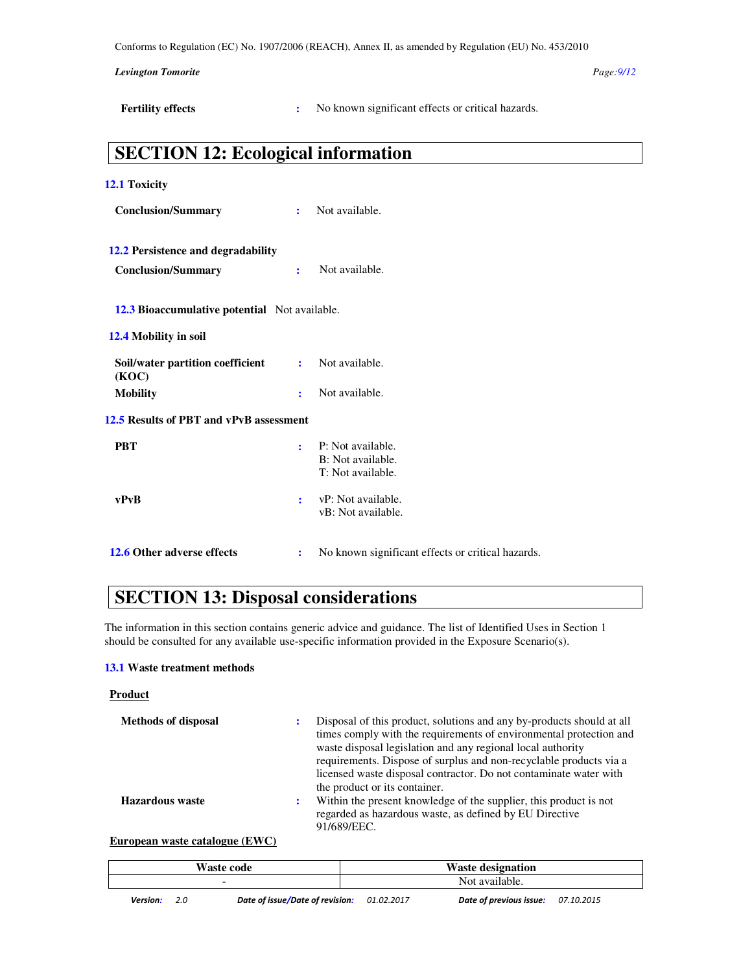*Levington Tomorite Page:9/12* 

**Fertility effects** : No known significant effects or critical hazards.

## **SECTION 12: Ecological information**

| 12.1 Toxicity                                 |              |                                                             |
|-----------------------------------------------|--------------|-------------------------------------------------------------|
| <b>Conclusion/Summary</b>                     | ÷            | Not available.                                              |
| 12.2 Persistence and degradability            |              |                                                             |
| <b>Conclusion/Summary</b>                     | $\mathbf{r}$ | Not available.                                              |
| 12.3 Bioaccumulative potential Not available. |              |                                                             |
| 12.4 Mobility in soil                         |              |                                                             |
| Soil/water partition coefficient<br>(KOC)     | ÷            | Not available.                                              |
| <b>Mobility</b>                               | ÷            | Not available.                                              |
| 12.5 Results of PBT and vPvB assessment       |              |                                                             |
| <b>PBT</b>                                    | ÷            | P: Not available.<br>B: Not available.<br>T: Not available. |
| vPvB                                          | ÷            | vP: Not available.<br>vB: Not available.                    |
| 12.6 Other adverse effects                    | :            | No known significant effects or critical hazards.           |

# **SECTION 13: Disposal considerations**

The information in this section contains generic advice and guidance. The list of Identified Uses in Section 1 should be consulted for any available use-specific information provided in the Exposure Scenario(s).

### **13.1 Waste treatment methods**

### **Product**

| <b>Methods of disposal</b> | ÷ | Disposal of this product, solutions and any by-products should at all<br>times comply with the requirements of environmental protection and<br>waste disposal legislation and any regional local authority<br>requirements. Dispose of surplus and non-recyclable products via a<br>licensed waste disposal contractor. Do not contaminate water with<br>the product or its container. |
|----------------------------|---|----------------------------------------------------------------------------------------------------------------------------------------------------------------------------------------------------------------------------------------------------------------------------------------------------------------------------------------------------------------------------------------|
| <b>Hazardous</b> waste     | ÷ | Within the present knowledge of the supplier, this product is not<br>regarded as hazardous waste, as defined by EU Directive<br>91/689/EEC.                                                                                                                                                                                                                                            |

### **European waste catalogue (EWC)**

| <b>Waste code</b> |     |                                 |            | <b>Waste designation</b> |            |
|-------------------|-----|---------------------------------|------------|--------------------------|------------|
|                   |     | -                               |            | Not available.           |            |
| <b>Version:</b>   | 2.0 | Date of issue/Date of revision: | 01.02.2017 | Date of previous issue:  | 07.10.2015 |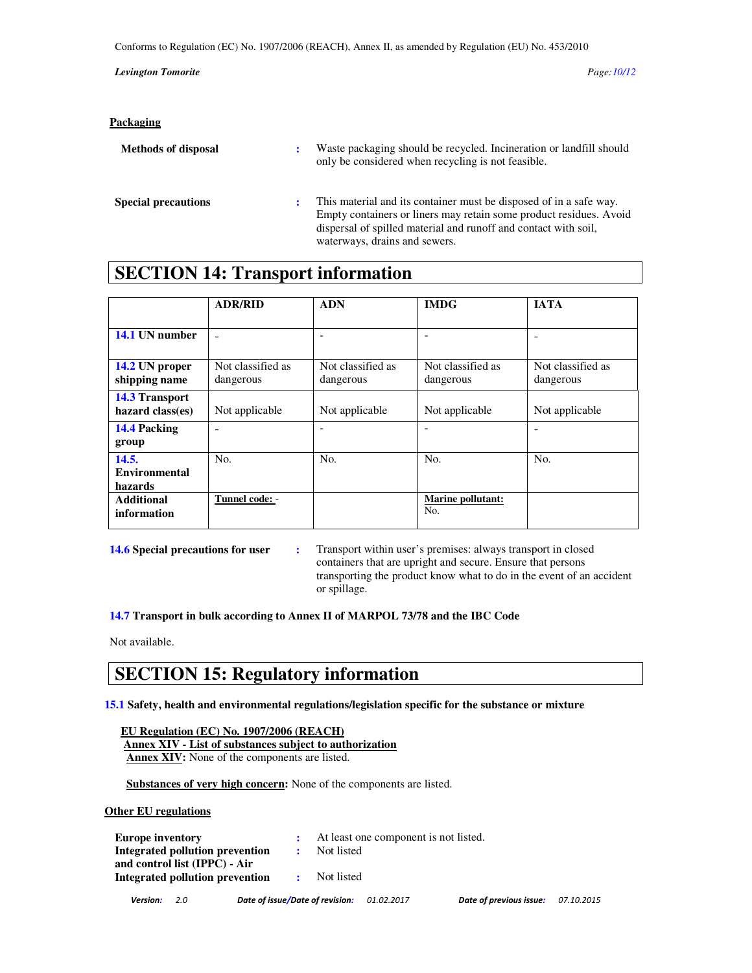Conforms to Regulation (EC) No. 1907/2006 (REACH), Annex II, as amended by Regulation (EU) No. 453/2010

*Levington Tomorite Page:10/12* 

| <b>Packaging</b>           |   |                                                                                                                                                                                                                                              |
|----------------------------|---|----------------------------------------------------------------------------------------------------------------------------------------------------------------------------------------------------------------------------------------------|
| <b>Methods of disposal</b> | ÷ | Waste packaging should be recycled. Incineration or landfill should<br>only be considered when recycling is not feasible.                                                                                                                    |
| <b>Special precautions</b> | ÷ | This material and its container must be disposed of in a safe way.<br>Empty containers or liners may retain some product residues. Avoid<br>dispersal of spilled material and runoff and contact with soil,<br>waterways, drains and sewers. |

# **SECTION 14: Transport information**

|                      | <b>ADR/RID</b>    | <b>ADN</b>        | <b>IMDG</b>              | <b>JATA</b>       |
|----------------------|-------------------|-------------------|--------------------------|-------------------|
|                      |                   |                   |                          |                   |
| 14.1 UN number       |                   | ۰                 |                          |                   |
|                      |                   |                   |                          |                   |
| 14.2 UN proper       | Not classified as | Not classified as | Not classified as        | Not classified as |
| shipping name        | dangerous         | dangerous         | dangerous                | dangerous         |
| 14.3 Transport       |                   |                   |                          |                   |
| hazard class(es)     | Not applicable    | Not applicable    | Not applicable           | Not applicable    |
| 14.4 Packing         |                   |                   | $\overline{\phantom{a}}$ |                   |
| group                |                   |                   |                          |                   |
| 14.5.                | No.               | No.               | No.                      | No.               |
| <b>Environmental</b> |                   |                   |                          |                   |
| hazards              |                   |                   |                          |                   |
| <b>Additional</b>    | Tunnel code: -    |                   | Marine pollutant:<br>No. |                   |
| information          |                   |                   |                          |                   |

**14.6 Special precautions for user :** Transport within user's premises: always transport in closed containers that are upright and secure. Ensure that persons transporting the product know what to do in the event of an accident or spillage.

**14.7 Transport in bulk according to Annex II of MARPOL 73/78 and the IBC Code** 

Not available.

### **SECTION 15: Regulatory information**

**15.1 Safety, health and environmental regulations/legislation specific for the substance or mixture** 

| EU Regulation (EC) No. 1907/2006 (REACH)                |
|---------------------------------------------------------|
| Annex XIV - List of substances subject to authorization |
| <b>Annex XIV:</b> None of the components are listed.    |

 **Substances of very high concern:** None of the components are listed.

**Other EU regulations**

| <b>Europe inventory</b>         | At least one component is not listed. |
|---------------------------------|---------------------------------------|
| Integrated pollution prevention | Not listed                            |
| and control list (IPPC) - Air   |                                       |
| Integrated pollution prevention | Not listed                            |
|                                 |                                       |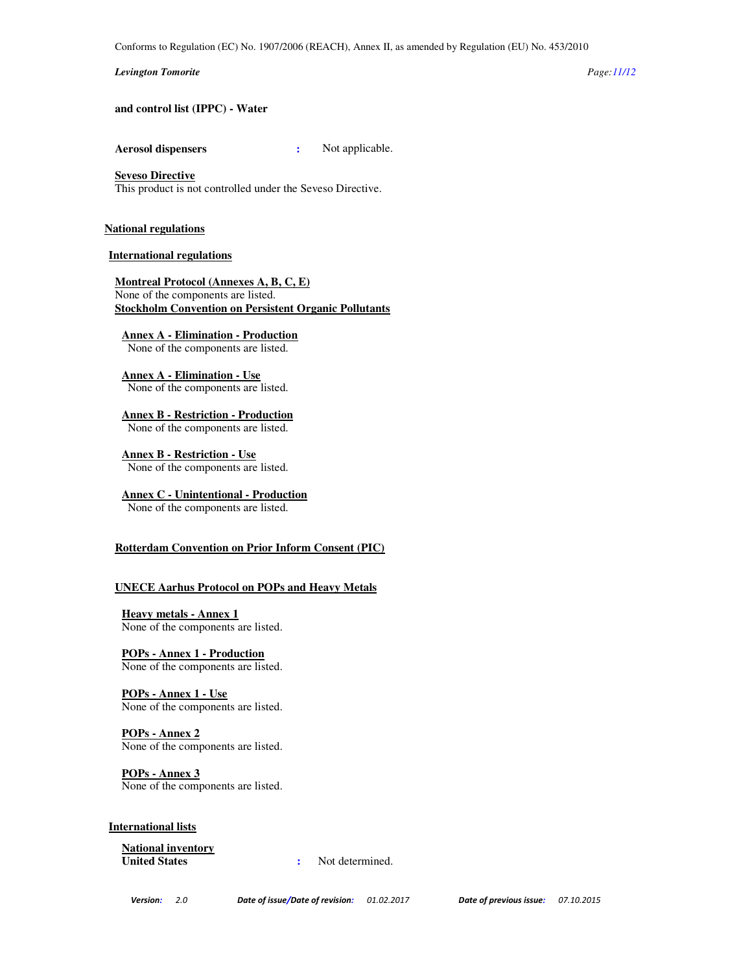#### *Levington Tomorite Page:11/12*

**and control list (IPPC) - Water**

**Aerosol dispensers :** Not applicable.

### **Seveso Directive**

This product is not controlled under the Seveso Directive.

#### **National regulations**

#### **International regulations**

**Montreal Protocol (Annexes A, B, C, E)** None of the components are listed. **Stockholm Convention on Persistent Organic Pollutants**

**Annex A - Elimination - Production**

None of the components are listed.

**Annex A - Elimination - Use** None of the components are listed.

**Annex B - Restriction - Production** None of the components are listed.

**Annex B - Restriction - Use** None of the components are listed.

### **Annex C - Unintentional - Production**

None of the components are listed.

### **Rotterdam Convention on Prior Inform Consent (PIC)**

### **UNECE Aarhus Protocol on POPs and Heavy Metals**

**Heavy metals - Annex 1** None of the components are listed.

**POPs - Annex 1 - Production** None of the components are listed.

**POPs - Annex 1 - Use** None of the components are listed.

**POPs - Annex 2** None of the components are listed.

**POPs - Annex 3** None of the components are listed.

### **International lists**

**National inventory**

**:** Not determined.